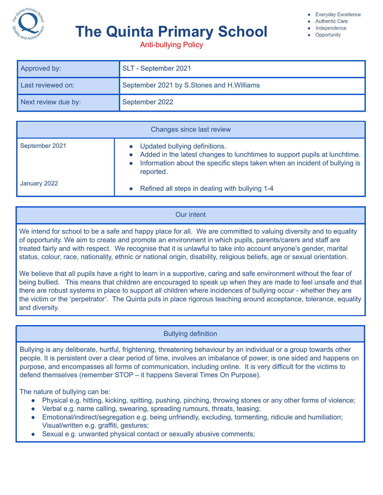

# **The Quinta Primary School**

**Everyday Excellence** 

- **Authentic Care**
- Independence Opportunity

Anti-bullying Policy

| Approved by:        | SLT - September 2021                      |  |
|---------------------|-------------------------------------------|--|
| Last reviewed on:   | September 2021 by S.Stones and H.Williams |  |
| Next review due by: | September 2022                            |  |

| Changes since last review |                                                                                                                                                                                                                    |  |  |  |
|---------------------------|--------------------------------------------------------------------------------------------------------------------------------------------------------------------------------------------------------------------|--|--|--|
| September 2021            | Updated bullying definitions.<br>Added in the latest changes to lunchtimes to support pupils at lunchtime.<br>Information about the specific steps taken when an incident of bullying is<br>$\bullet$<br>reported. |  |  |  |
| January 2022              | Refined all steps in dealing with bullying 1-4                                                                                                                                                                     |  |  |  |

# Our intent

We intend for school to be a safe and happy place for all. We are committed to valuing diversity and to equality of opportunity. We aim to create and promote an environment in which pupils, parents/carers and staff are treated fairly and with respect. We recognise that it is unlawful to take into account anyone's gender, marital status, colour, race, nationality, ethnic or national origin, disability, religious beliefs, age or sexual orientation.

We believe that all pupils have a right to learn in a supportive, caring and safe environment without the fear of being bullied. This means that children are encouraged to speak up when they are made to feel unsafe and that there are robust systems in place to support all children where incidences of bullying occur - whether they are the victim or the 'perpetrator'. The Quinta puts in place rigorous teaching around acceptance, tolerance, equality and diversity.

Bullying definition

Bullying is any deliberate, hurtful, frightening, threatening behaviour by an individual or a group towards other people. It is persistent over a clear period of time, involves an imbalance of power, is one sided and happens on purpose, and encompasses all forms of communication, including online. It is very difficult for the victims to defend themselves (remember STOP – it happens Several Times On Purpose).

The nature of bullying can be:

- Physical e.g. hitting, kicking, spitting, pushing, pinching, throwing stones or any other forms of violence;
- Verbal e.g. name calling, swearing, spreading rumours, threats, teasing;
- Emotional/indirect/segregation e.g. being unfriendly, excluding, tormenting, ridicule and humiliation; Visual/written e.g. graffiti, gestures;
- Sexual e.g. unwanted physical contact or sexually abusive comments;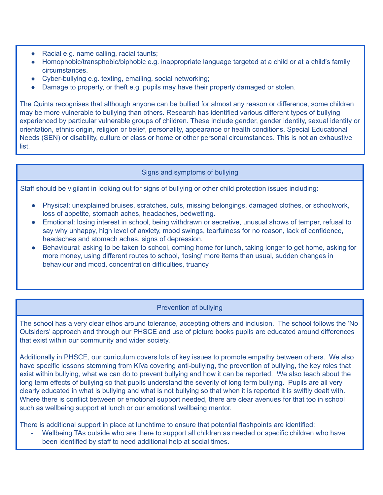- Racial e.g. name calling, racial taunts;
- Homophobic/transphobic/biphobic e.g. inappropriate language targeted at a child or at a child's family circumstances.
- Cyber-bullying e.g. texting, emailing, social networking;
- Damage to property, or theft e.g. pupils may have their property damaged or stolen.

The Quinta recognises that although anyone can be bullied for almost any reason or difference, some children may be more vulnerable to bullying than others. Research has identified various different types of bullying experienced by particular vulnerable groups of children. These include gender, gender identity, sexual identity or orientation, ethnic origin, religion or belief, personality, appearance or health conditions, Special Educational Needs (SEN) or disability, culture or class or home or other personal circumstances. This is not an exhaustive list.

### Signs and symptoms of bullying

Staff should be vigilant in looking out for signs of bullying or other child protection issues including:

- Physical: unexplained bruises, scratches, cuts, missing belongings, damaged clothes, or schoolwork, loss of appetite, stomach aches, headaches, bedwetting.
- Emotional: losing interest in school, being withdrawn or secretive, unusual shows of temper, refusal to say why unhappy, high level of anxiety, mood swings, tearfulness for no reason, lack of confidence, headaches and stomach aches, signs of depression.
- Behavioural: asking to be taken to school, coming home for lunch, taking longer to get home, asking for more money, using different routes to school, 'losing' more items than usual, sudden changes in behaviour and mood, concentration difficulties, truancy

### Prevention of bullying

The school has a very clear ethos around tolerance, accepting others and inclusion. The school follows the 'No Outsiders' approach and through our PHSCE and use of picture books pupils are educated around differences that exist within our community and wider society.

Additionally in PHSCE, our curriculum covers lots of key issues to promote empathy between others. We also have specific lessons stemming from KiVa covering anti-bullying, the prevention of bullying, the key roles that exist within bullying, what we can do to prevent bullying and how it can be reported. We also teach about the long term effects of bullying so that pupils understand the severity of long term bullying. Pupils are all very clearly educated in what is bullying and what is not bullying so that when it is reported it is swiftly dealt with. Where there is conflict between or emotional support needed, there are clear avenues for that too in school such as wellbeing support at lunch or our emotional wellbeing mentor.

There is additional support in place at lunchtime to ensure that potential flashpoints are identified:

Wellbeing TAs outside who are there to support all children as needed or specific children who have been identified by staff to need additional help at social times.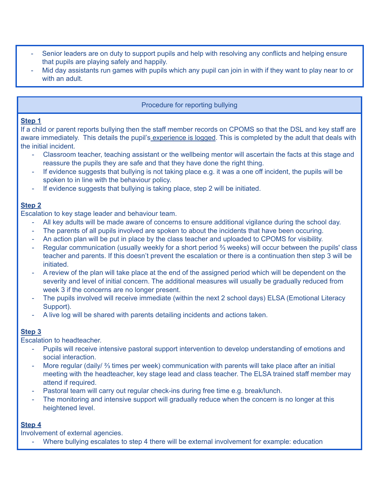- Senior leaders are on duty to support pupils and help with resolving any conflicts and helping ensure that pupils are playing safely and happily.
- Mid day assistants run games with pupils which any pupil can join in with if they want to play near to or with an adult.

# Procedure for reporting bullying

### **Step 1**

If a child or parent reports bullying then the staff member records on CPOMS so that the DSL and key staff are aware immediately. This details the pupil's experience is logged. This is completed by the adult that deals with the initial incident.

- Classroom teacher, teaching assistant or the wellbeing mentor will ascertain the facts at this stage and reassure the pupils they are safe and that they have done the right thing.
- If evidence suggests that bullying is not taking place e.g. it was a one off incident, the pupils will be spoken to in line with the behaviour policy.
- If evidence suggests that bullying is taking place, step 2 will be initiated.

# **Step 2**

Escalation to key stage leader and behaviour team.

- All key adults will be made aware of concerns to ensure additional vigilance during the school day.
- The parents of all pupils involved are spoken to about the incidents that have been occuring.
- An action plan will be put in place by the class teacher and uploaded to CPOMS for visibility.
- Regular communication (usually weekly for a short period ⅔ weeks) will occur between the pupils' class teacher and parents. If this doesn't prevent the escalation or there is a continuation then step 3 will be initiated.
- A review of the plan will take place at the end of the assigned period which will be dependent on the severity and level of initial concern. The additional measures will usually be gradually reduced from week 3 if the concerns are no longer present.
- The pupils involved will receive immediate (within the next 2 school days) ELSA (Emotional Literacy Support).
- A live log will be shared with parents detailing incidents and actions taken.

# **Step 3**

Escalation to headteacher.

- Pupils will receive intensive pastoral support intervention to develop understanding of emotions and social interaction.
- More regular (daily/  $\frac{2}{3}$  times per week) communication with parents will take place after an initial meeting with the headteacher, key stage lead and class teacher. The ELSA trained staff member may attend if required.
- Pastoral team will carry out regular check-ins during free time e.g. break/lunch.
- The monitoring and intensive support will gradually reduce when the concern is no longer at this heightened level.

### **Step 4**

Involvement of external agencies.

Where bullying escalates to step 4 there will be external involvement for example: education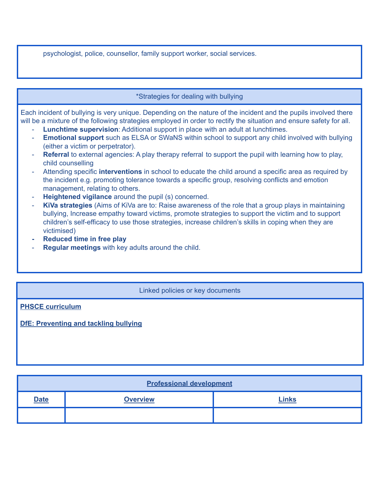psychologist, police, counsellor, family support worker, social services.

#### \*Strategies for dealing with bullying

Each incident of bullying is very unique. Depending on the nature of the incident and the pupils involved there will be a mixture of the following strategies employed in order to rectify the situation and ensure safety for all.

- **Lunchtime supervision**: Additional support in place with an adult at lunchtimes.
- **Emotional support** such as ELSA or SWaNS within school to support any child involved with bullying (either a victim or perpetrator).
- **Referral** to external agencies: A play therapy referral to support the pupil with learning how to play, child counselling
- Attending specific **interventions** in school to educate the child around a specific area as required by the incident e.g. promoting tolerance towards a specific group, resolving conflicts and emotion management, relating to others.
- **Heightened vigilance** around the pupil (s) concerned.
- **KiVa strategies** (Aims of KiVa are to: Raise awareness of the role that a group plays in maintaining bullying, Increase empathy toward victims, promote strategies to support the victim and to support children's self-efficacy to use those strategies, increase children's skills in coping when they are victimised)
- **- Reduced time in free play**
- **Regular meetings** with key adults around the child.

#### Linked policies or key documents

**PHSCE [curriculum](https://docs.google.com/document/d/1QL8CRqY_0YC5sVBijNyhA4VldONAJXvWU9APWCUIqAg/edit?usp=sharing)**

**DfE: [Preventing](https://assets.publishing.service.gov.uk/government/uploads/system/uploads/attachment_data/file/623895/Preventing_and_tackling_bullying_advice.pdf) and tackling bullying**

| <b>Professional development</b> |                 |              |  |  |
|---------------------------------|-----------------|--------------|--|--|
| <b>Date</b>                     | <b>Overview</b> | <b>Links</b> |  |  |
|                                 |                 |              |  |  |